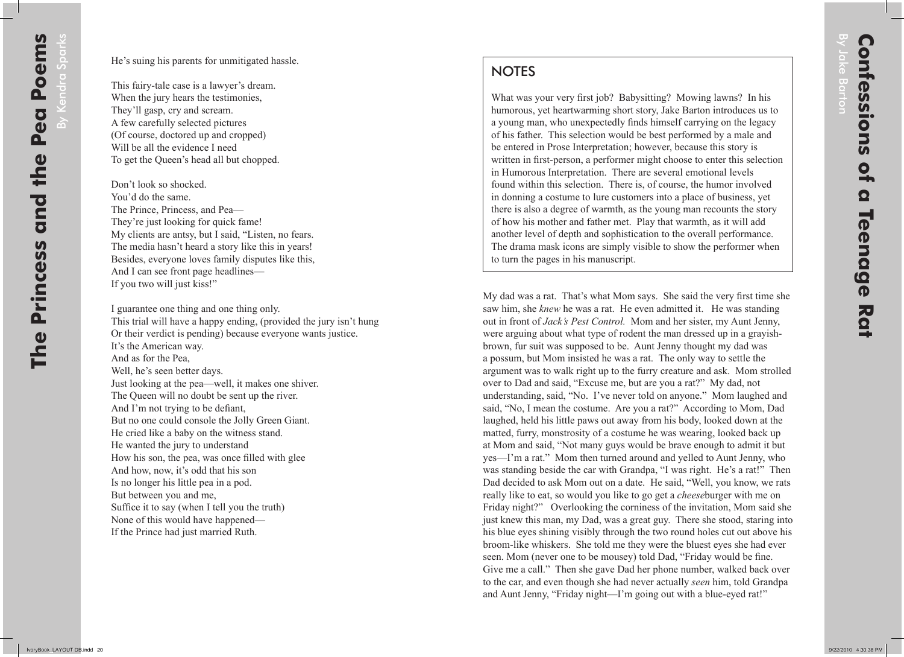## **NOTES**

What was your very first job? Babysitting? Mowing lawns? In his humorous, yet heartwarming short story, Jake Barton introduces us to a young man, who unexpectedly finds himself carrying on the legacy of his father. This selection would be best performed by a male and be entered in Prose Interpretation; however, because this story is written in first-person, a performer might choose to enter this selection in Humorous Interpretation. There are several emotional levels found within this selection. There is, of course, the humor involved in donning a costume to lure customers into a place of business, yet there is also a degree of warmth, as the young man recounts the story of how his mother and father met. Play that warmth, as it will add another level of depth and sophistication to the overall performance. The drama mask icons are simply visible to show the performer when to turn the pages in his manuscript.

My dad was a rat. That's what Mom says. She said the very first time she saw him, she *knew* he was a rat. He even admitted it. He was standing out in front of *Jack's Pest Control.* Mom and her sister, my Aunt Jenny, were arguing about what type of rodent the man dressed up in a grayishbrown, fur suit was supposed to be. Aunt Jenny thought my dad was a possum, but Mom insisted he was a rat. The only way to settle the argument was to walk right up to the furry creature and ask. Mom strolled over to Dad and said, "Excuse me, but are you a rat?" My dad, not understanding, said, "No. I've never told on anyone." Mom laughed and said, "No, I mean the costume. Are you a rat?" According to Mom, Dad laughed, held his little paws out away from his body, looked down at the matted, furry, monstrosity of a costume he was wearing, looked back up at Mom and said, "Not many guys would be brave enough to admit it but yes—I'm a rat." Mom then turned around and yelled to Aunt Jenny, who was standing beside the car with Grandpa, "I was right. He's a rat!" Then Dad decided to ask Mom out on a date. He said, "Well, you know, we rats really like to eat, so would you like to go get a *cheese*burger with me on Friday night?" Overlooking the corniness of the invitation, Mom said she just knew this man, my Dad, was a great guy. There she stood, staring into his blue eyes shining visibly through the two round holes cut out above his broom-like whiskers. She told me they were the bluest eyes she had ever seen. Mom (never one to be mousey) told Dad, "Friday would be fine. Give me a call." Then she gave Dad her phone number, walked back over to the car, and even though she had never actually *seen* him, told Grandpa and Aunt Jenny, "Friday night—I'm going out with a blue-eyed rat!"

By Jake Barton

By Jake Barton